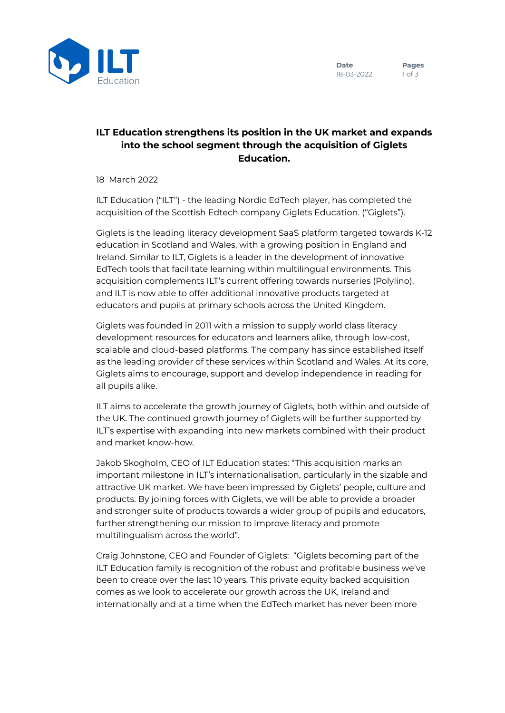## **ILT Education strengthens its position in the UK market and expands into the school segment through the acquisition of Giglets Education.**

18 March 2022

ILT Education ("ILT") - the leading Nordic EdTech player, has completed the acquisition of the Scottish Edtech company Giglets Education. ("Giglets").

Giglets is the leading literacy development SaaS platform targeted towards K-12 education in Scotland and Wales, with a growing position in England and Ireland. Similar to ILT, Giglets is a leader in the development of innovative EdTech tools that facilitate learning within multilingual environments. This acquisition complements ILT's current offering towards nurseries (Polylino), and ILT is now able to offer additional innovative products targeted at educators and pupils at primary schools across the United Kingdom.

Giglets was founded in 2011 with a mission to supply world class literacy development resources for educators and learners alike, through low-cost, scalable and cloud-based platforms. The company has since established itself as the leading provider of these services within Scotland and Wales. At its core, Giglets aims to encourage, support and develop independence in reading for all pupils alike.

ILT aims to accelerate the growth journey of Giglets, both within and outside of the UK. The continued growth journey of Giglets will be further supported by ILT's expertise with expanding into new markets combined with their product and market know-how.

Jakob Skogholm, CEO of ILT Education states: "This acquisition marks an important milestone in ILT's internationalisation, particularly in the sizable and attractive UK market. We have been impressed by Giglets' people, culture and products. By joining forces with Giglets, we will be able to provide a broader and stronger suite of products towards a wider group of pupils and educators, further strengthening our mission to improve literacy and promote multilingualism across the world".

Craig Johnstone, CEO and Founder of Giglets: "Giglets becoming part of the ILT Education family is recognition of the robust and profitable business we've been to create over the last 10 years. This private equity backed acquisition comes as we look to accelerate our growth across the UK, Ireland and internationally and at a time when the EdTech market has never been more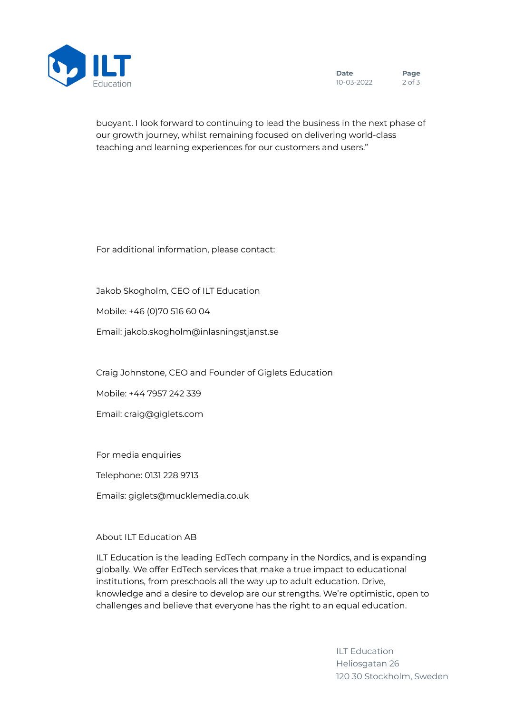

buoyant. I look forward to continuing to lead the business in the next phase of our growth journey, whilst remaining focused on delivering world-class teaching and learning experiences for our customers and users."

For additional information, please contact:

Jakob Skogholm, CEO of ILT Education

Mobile: +46 (0)70 516 60 04

Email: jakob.skogholm@inlasningstjanst.se

Craig Johnstone, CEO and Founder of Giglets Education

Mobile: +44 7957 242 339

Email: craig@giglets.com

For media enquiries

Telephone: 0131 228 9713

Emails: giglets@mucklemedia.co.uk

## About ILT Education AB

ILT Education is the leading EdTech company in the Nordics, and is expanding globally. We offer EdTech services that make a true impact to educational institutions, from preschools all the way up to adult education. Drive, knowledge and a desire to develop are our strengths. We're optimistic, open to challenges and believe that everyone has the right to an equal education.

> ILT Education Heliosgatan 26 120 30 Stockholm, Sweden